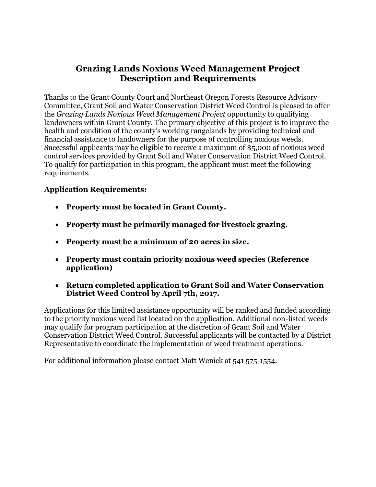# **Grazing Lands Noxious Weed Management Project Description and Requirements**

Thanks to the Grant County Court and Northeast Oregon Forests Resource Advisory Committee, Grant Soil and Water Conservation District Weed Control is pleased to offer the *Grazing Lands Noxious Weed Management Project* opportunity to qualifying landowners within Grant County. The primary objective of this project is to improve the health and condition of the county's working rangelands by providing technical and financial assistance to landowners for the purpose of controlling noxious weeds. Successful applicants may be eligible to receive a maximum of \$5,000 of noxious weed control services provided by Grant Soil and Water Conservation District Weed Control. To qualify for participation in this program, the applicant must meet the following requirements.

# **Application Requirements:**

- **Property must be located in Grant County.**
- **Property must be primarily managed for livestock grazing.**
- **Property must be a minimum of 20 acres in size.**
- **Property must contain priority noxious weed species (Reference application)**
- **Return completed application to Grant Soil and Water Conservation District Weed Control by April 7th, 2017.**

Applications for this limited assistance opportunity will be ranked and funded according to the priority noxious weed list located on the application. Additional non-listed weeds may qualify for program participation at the discretion of Grant Soil and Water Conservation District Weed Control. Successful applicants will be contacted by a District Representative to coordinate the implementation of weed treatment operations.

For additional information please contact Matt Wenick at 541 575-1554.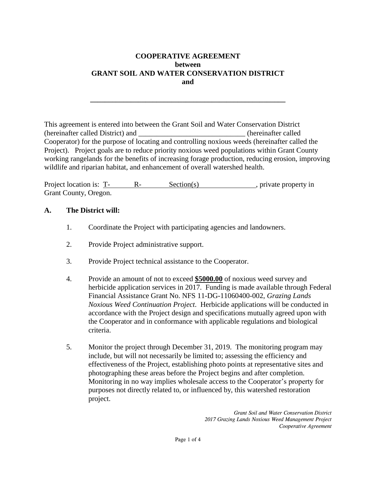### **COOPERATIVE AGREEMENT between GRANT SOIL AND WATER CONSERVATION DISTRICT and**

**\_\_\_\_\_\_\_\_\_\_\_\_\_\_\_\_\_\_\_\_\_\_\_\_\_\_\_\_\_\_\_\_\_\_\_\_\_\_\_\_\_\_\_\_\_\_\_\_\_\_\_\_\_**

This agreement is entered into between the Grant Soil and Water Conservation District (hereinafter called District) and \_\_\_\_\_\_\_\_\_\_\_\_\_\_\_\_\_\_\_\_\_\_\_\_\_\_\_\_\_ (hereinafter called Cooperator) for the purpose of locating and controlling noxious weeds (hereinafter called the Project). Project goals are to reduce priority noxious weed populations within Grant County working rangelands for the benefits of increasing forage production, reducing erosion, improving wildlife and riparian habitat, and enhancement of overall watershed health.

Project location is: T- R- Section(s), private property in Grant County, Oregon.

#### **A. The District will:**

- 1. Coordinate the Project with participating agencies and landowners.
- 2. Provide Project administrative support.
- 3. Provide Project technical assistance to the Cooperator.
- 4. Provide an amount of not to exceed **\$5000.00** of noxious weed survey and herbicide application services in 2017. Funding is made available through Federal Financial Assistance Grant No. NFS 11-DG-11060400-002, *Grazing Lands Noxious Weed Continuation Project*. Herbicide applications will be conducted in accordance with the Project design and specifications mutually agreed upon with the Cooperator and in conformance with applicable regulations and biological criteria.
- 5. Monitor the project through December 31, 2019. The monitoring program may include, but will not necessarily be limited to; assessing the efficiency and effectiveness of the Project, establishing photo points at representative sites and photographing these areas before the Project begins and after completion. Monitoring in no way implies wholesale access to the Cooperator's property for purposes not directly related to, or influenced by, this watershed restoration project.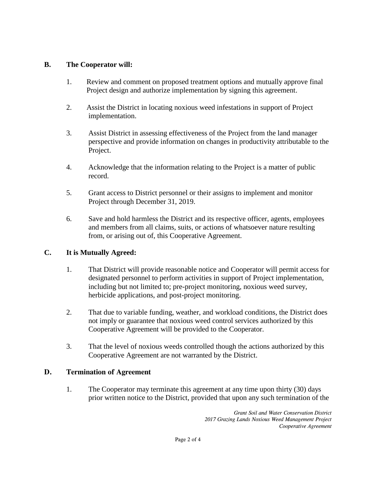## **B. The Cooperator will:**

- 1. Review and comment on proposed treatment options and mutually approve final Project design and authorize implementation by signing this agreement.
- 2. Assist the District in locating noxious weed infestations in support of Project implementation.
- 3. Assist District in assessing effectiveness of the Project from the land manager perspective and provide information on changes in productivity attributable to the Project.
- 4. Acknowledge that the information relating to the Project is a matter of public record.
- 5. Grant access to District personnel or their assigns to implement and monitor Project through December 31, 2019.
- 6. Save and hold harmless the District and its respective officer, agents, employees and members from all claims, suits, or actions of whatsoever nature resulting from, or arising out of, this Cooperative Agreement.

## **C. It is Mutually Agreed:**

- 1. That District will provide reasonable notice and Cooperator will permit access for designated personnel to perform activities in support of Project implementation, including but not limited to; pre-project monitoring, noxious weed survey, herbicide applications, and post-project monitoring.
- 2. That due to variable funding, weather, and workload conditions, the District does not imply or guarantee that noxious weed control services authorized by this Cooperative Agreement will be provided to the Cooperator.
- 3. That the level of noxious weeds controlled though the actions authorized by this Cooperative Agreement are not warranted by the District.

## **D. Termination of Agreement**

1. The Cooperator may terminate this agreement at any time upon thirty (30) days prior written notice to the District, provided that upon any such termination of the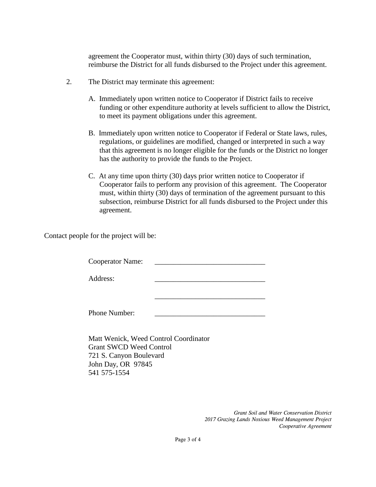agreement the Cooperator must, within thirty (30) days of such termination, reimburse the District for all funds disbursed to the Project under this agreement.

- 2. The District may terminate this agreement:
	- A. Immediately upon written notice to Cooperator if District fails to receive funding or other expenditure authority at levels sufficient to allow the District, to meet its payment obligations under this agreement.
	- B. Immediately upon written notice to Cooperator if Federal or State laws, rules, regulations, or guidelines are modified, changed or interpreted in such a way that this agreement is no longer eligible for the funds or the District no longer has the authority to provide the funds to the Project.
	- C. At any time upon thirty (30) days prior written notice to Cooperator if Cooperator fails to perform any provision of this agreement. The Cooperator must, within thirty (30) days of termination of the agreement pursuant to this subsection, reimburse District for all funds disbursed to the Project under this agreement.

\_\_\_\_\_\_\_\_\_\_\_\_\_\_\_\_\_\_\_\_\_\_\_\_\_\_\_\_\_\_

Contact people for the project will be:

Cooperator Name:

Address:

Phone Number:

Matt Wenick, Weed Control Coordinator Grant SWCD Weed Control 721 S. Canyon Boulevard John Day, OR 97845 541 575-1554